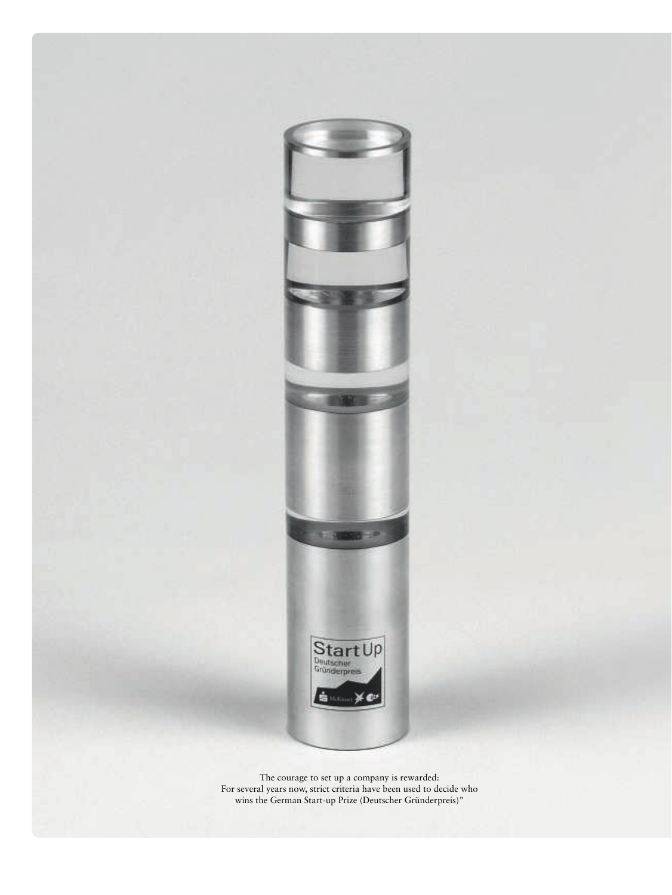

The courage to set up a company is rewarded: For several years now, strict criteria have been used to decide who wins the German Start-up Prize (Deutscher Gründerpreis)"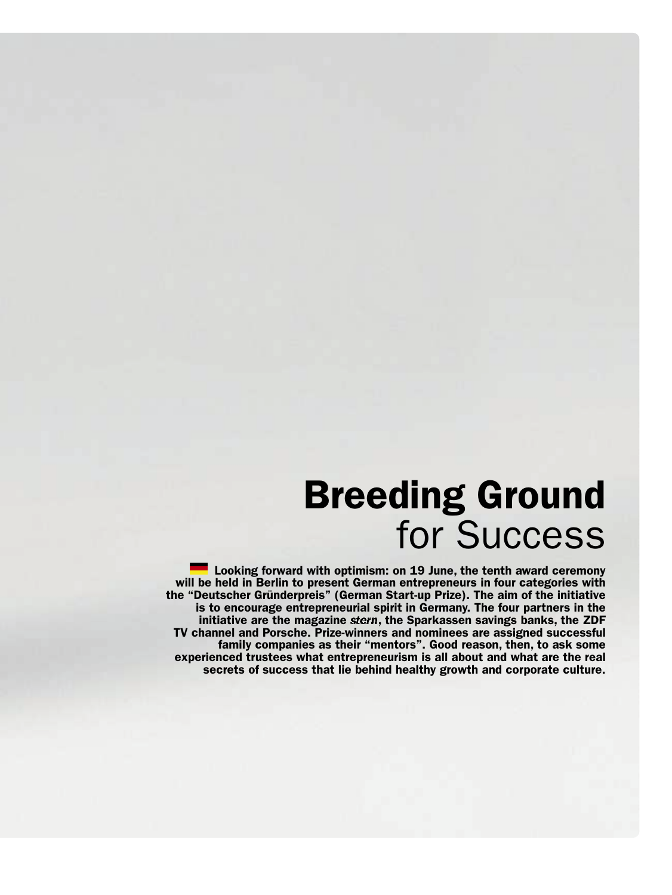# Breeding Ground for Success

Looking forward with optimism: on 19 June, the tenth award ceremony will be held in Berlin to present German entrepreneurs in four categories with the "Deutscher Gründerpreis" (German Start-up Prize). The aim of the initiative is to encourage entrepreneurial spirit in Germany. The four partners in the initiative are the magazine stern, the Sparkassen savings banks, the ZDF TV channel and Porsche. Prize-winners and nominees are assigned successful family companies as their "mentors". Good reason, then, to ask some experienced trustees what entrepreneurism is all about and what are the real secrets of success that lie behind healthy growth and corporate culture.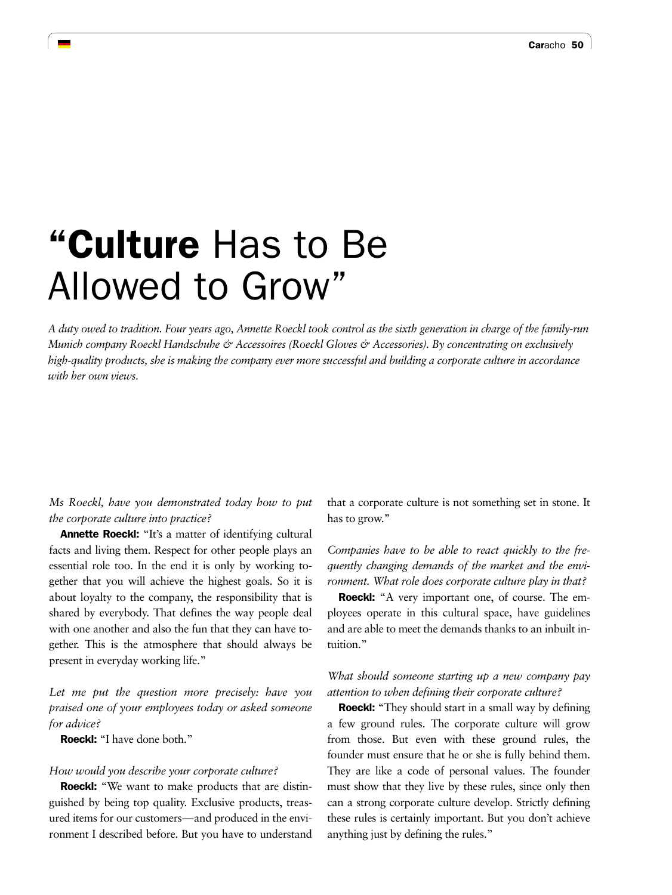# "Culture Has to Be Allowed to Grow"

*A duty owed to tradition. Four years ago, Annette Roeckl took control as the sixth generation in charge of the family-run Munich company Roeckl Handschuhe & Accessoires (Roeckl Gloves & Accessories). By concentrating on exclusively high-quality products, she is making the company ever more successful and building a corporate culture in accordance with her own views.* 

*Ms Roeckl, have you demonstrated today how to put the corporate culture into practice?* 

Annette Roeckl: "It's a matter of identifying cultural facts and living them. Respect for other people plays an essential role too. In the end it is only by working together that you will achieve the highest goals. So it is about loyalty to the company, the responsibility that is shared by everybody. That defines the way people deal with one another and also the fun that they can have together. This is the atmosphere that should always be present in everyday working life."

*Let me put the question more precisely: have you praised one of your employees today or asked someone for advice?*

Roeckl: "I have done both."

#### *How would you describe your corporate culture?*

Roeckl: "We want to make products that are distinguished by being top quality. Exclusive products, treasured items for our customers—and produced in the environment I described before. But you have to understand

that a corporate culture is not something set in stone. It has to grow."

*Companies have to be able to react quickly to the frequently changing demands of the market and the environment. What role does corporate culture play in that?* 

Roeckl: "A very important one, of course. The employees operate in this cultural space, have guidelines and are able to meet the demands thanks to an inbuilt intuition."

### *What should someone starting up a new company pay attention to when defining their corporate culture?*

**Roeckl:** "They should start in a small way by defining a few ground rules. The corporate culture will grow from those. But even with these ground rules, the founder must ensure that he or she is fully behind them. They are like a code of personal values. The founder must show that they live by these rules, since only then can a strong corporate culture develop. Strictly defining these rules is certainly important. But you don't achieve anything just by defining the rules."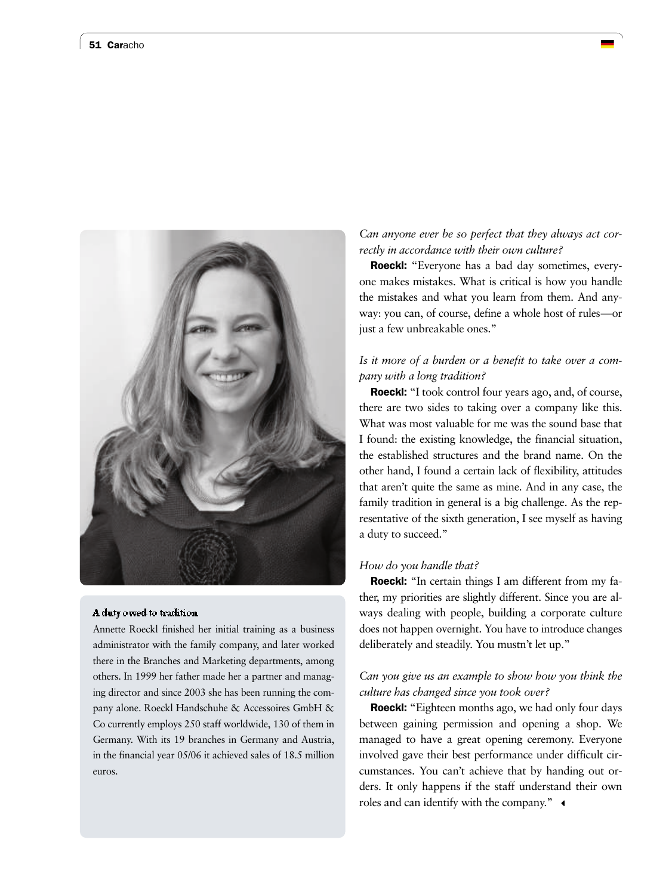

#### A duty owed to tradition

Annette Roeckl finished her initial training as a business administrator with the family company, and later worked there in the Branches and Marketing departments, among others. In 1999 her father made her a partner and managing director and since 2003 she has been running the company alone. Roeckl Handschuhe & Accessoires GmbH & Co currently employs 250 staff worldwide, 130 of them in Germany. With its 19 branches in Germany and Austria, in the financial year 05/06 it achieved sales of 18.5 million euros.

# *Can anyone ever be so perfect that they always act correctly in accordance with their own culture?*

Roeckl: "Everyone has a bad day sometimes, everyone makes mistakes. What is critical is how you handle the mistakes and what you learn from them. And anyway: you can, of course, define a whole host of rules—or just a few unbreakable ones."

# *Is it more of a burden or a benefit to take over a company with a long tradition?*

Roeckl: "I took control four years ago, and, of course, there are two sides to taking over a company like this. What was most valuable for me was the sound base that I found: the existing knowledge, the financial situation, the established structures and the brand name. On the other hand, I found a certain lack of flexibility, attitudes that aren't quite the same as mine. And in any case, the family tradition in general is a big challenge. As the representative of the sixth generation, I see myself as having a duty to succeed."

#### *How do you handle that?*

**Roeckl:** "In certain things I am different from my father, my priorities are slightly different. Since you are always dealing with people, building a corporate culture does not happen overnight. You have to introduce changes deliberately and steadily. You mustn't let up."

#### *Can you give us an example to show how you think the culture has changed since you took over?*

Roeckl: "Eighteen months ago, we had only four days between gaining permission and opening a shop. We managed to have a great opening ceremony. Everyone involved gave their best performance under difficult circumstances. You can't achieve that by handing out orders. It only happens if the staff understand their own roles and can identify with the company."  $\triangleleft$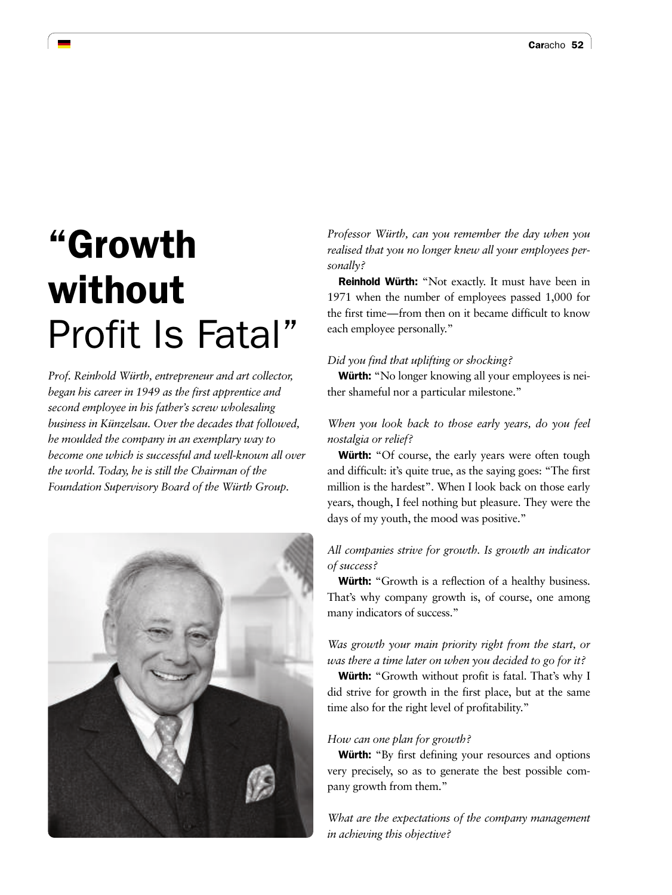# "Growth without Profit Is Fatal"

*Prof. Reinhold Würth, entrepreneur and art collector, began his career in 1949 as the first apprentice and second employee in his father's screw wholesaling business in Künzelsau. Over the decades that followed, he moulded the company in an exemplary way to become one which is successful and well-known all over the world. Today, he is still the Chairman of the Foundation Supervisory Board of the Würth Group.* 



*Professor Würth, can you remember the day when you realised that you no longer knew all your employees personally?* 

Reinhold Würth: "Not exactly. It must have been in 1971 when the number of employees passed 1,000 for the first time—from then on it became difficult to know each employee personally."

#### *Did you find that uplifting or shocking?*

Würth: "No longer knowing all your employees is neither shameful nor a particular milestone."

# *When you look back to those early years, do you feel nostalgia or relief?*

Würth: "Of course, the early years were often tough and difficult: it's quite true, as the saying goes: "The first million is the hardest". When I look back on those early years, though, I feel nothing but pleasure. They were the days of my youth, the mood was positive."

# *All companies strive for growth. Is growth an indicator of success?*

**Würth:** "Growth is a reflection of a healthy business. That's why company growth is, of course, one among many indicators of success."

# *Was growth your main priority right from the start, or was there a time later on when you decided to go for it?*

Würth: "Growth without profit is fatal. That's why I did strive for growth in the first place, but at the same time also for the right level of profitability."

#### *How can one plan for growth?*

Würth: "By first defining your resources and options very precisely, so as to generate the best possible company growth from them."

*What are the expectations of the company management in achieving this objective?*